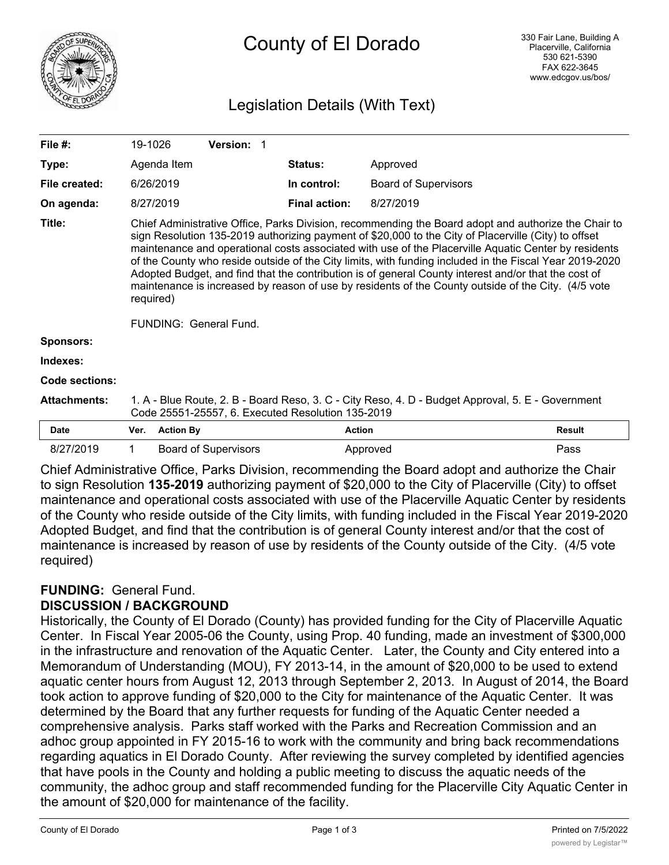

# County of El Dorado

# Legislation Details (With Text)

| File $#$ :          | 19-1026                                                                                                                                                                                                                                                                                                                                                                                                                                                                                                                                                                                                                                                                               |                  | <b>Version: 1</b>           |  |                      |                             |               |
|---------------------|---------------------------------------------------------------------------------------------------------------------------------------------------------------------------------------------------------------------------------------------------------------------------------------------------------------------------------------------------------------------------------------------------------------------------------------------------------------------------------------------------------------------------------------------------------------------------------------------------------------------------------------------------------------------------------------|------------------|-----------------------------|--|----------------------|-----------------------------|---------------|
| Type:               |                                                                                                                                                                                                                                                                                                                                                                                                                                                                                                                                                                                                                                                                                       | Agenda Item      |                             |  | <b>Status:</b>       | Approved                    |               |
| File created:       | 6/26/2019                                                                                                                                                                                                                                                                                                                                                                                                                                                                                                                                                                                                                                                                             |                  |                             |  | In control:          | <b>Board of Supervisors</b> |               |
| On agenda:          | 8/27/2019                                                                                                                                                                                                                                                                                                                                                                                                                                                                                                                                                                                                                                                                             |                  |                             |  | <b>Final action:</b> | 8/27/2019                   |               |
| Title:              | Chief Administrative Office, Parks Division, recommending the Board adopt and authorize the Chair to<br>sign Resolution 135-2019 authorizing payment of \$20,000 to the City of Placerville (City) to offset<br>maintenance and operational costs associated with use of the Placerville Aquatic Center by residents<br>of the County who reside outside of the City limits, with funding included in the Fiscal Year 2019-2020<br>Adopted Budget, and find that the contribution is of general County interest and/or that the cost of<br>maintenance is increased by reason of use by residents of the County outside of the City. (4/5 vote<br>required)<br>FUNDING: General Fund. |                  |                             |  |                      |                             |               |
| <b>Sponsors:</b>    |                                                                                                                                                                                                                                                                                                                                                                                                                                                                                                                                                                                                                                                                                       |                  |                             |  |                      |                             |               |
| Indexes:            |                                                                                                                                                                                                                                                                                                                                                                                                                                                                                                                                                                                                                                                                                       |                  |                             |  |                      |                             |               |
| Code sections:      |                                                                                                                                                                                                                                                                                                                                                                                                                                                                                                                                                                                                                                                                                       |                  |                             |  |                      |                             |               |
| <b>Attachments:</b> | 1. A - Blue Route, 2. B - Board Reso, 3. C - City Reso, 4. D - Budget Approval, 5. E - Government<br>Code 25551-25557, 6. Executed Resolution 135-2019                                                                                                                                                                                                                                                                                                                                                                                                                                                                                                                                |                  |                             |  |                      |                             |               |
| <b>Date</b>         | Ver.                                                                                                                                                                                                                                                                                                                                                                                                                                                                                                                                                                                                                                                                                  | <b>Action By</b> |                             |  | <b>Action</b>        |                             | <b>Result</b> |
| 8/27/2019           |                                                                                                                                                                                                                                                                                                                                                                                                                                                                                                                                                                                                                                                                                       |                  | <b>Board of Supervisors</b> |  |                      | Approved                    | Pass          |

Chief Administrative Office, Parks Division, recommending the Board adopt and authorize the Chair to sign Resolution **135-2019** authorizing payment of \$20,000 to the City of Placerville (City) to offset maintenance and operational costs associated with use of the Placerville Aquatic Center by residents of the County who reside outside of the City limits, with funding included in the Fiscal Year 2019-2020 Adopted Budget, and find that the contribution is of general County interest and/or that the cost of maintenance is increased by reason of use by residents of the County outside of the City. (4/5 vote required)

# **FUNDING:** General Fund. **DISCUSSION / BACKGROUND**

Historically, the County of El Dorado (County) has provided funding for the City of Placerville Aquatic Center. In Fiscal Year 2005-06 the County, using Prop. 40 funding, made an investment of \$300,000 in the infrastructure and renovation of the Aquatic Center. Later, the County and City entered into a Memorandum of Understanding (MOU), FY 2013-14, in the amount of \$20,000 to be used to extend aquatic center hours from August 12, 2013 through September 2, 2013. In August of 2014, the Board took action to approve funding of \$20,000 to the City for maintenance of the Aquatic Center. It was determined by the Board that any further requests for funding of the Aquatic Center needed a comprehensive analysis. Parks staff worked with the Parks and Recreation Commission and an adhoc group appointed in FY 2015-16 to work with the community and bring back recommendations regarding aquatics in El Dorado County. After reviewing the survey completed by identified agencies that have pools in the County and holding a public meeting to discuss the aquatic needs of the community, the adhoc group and staff recommended funding for the Placerville City Aquatic Center in the amount of \$20,000 for maintenance of the facility.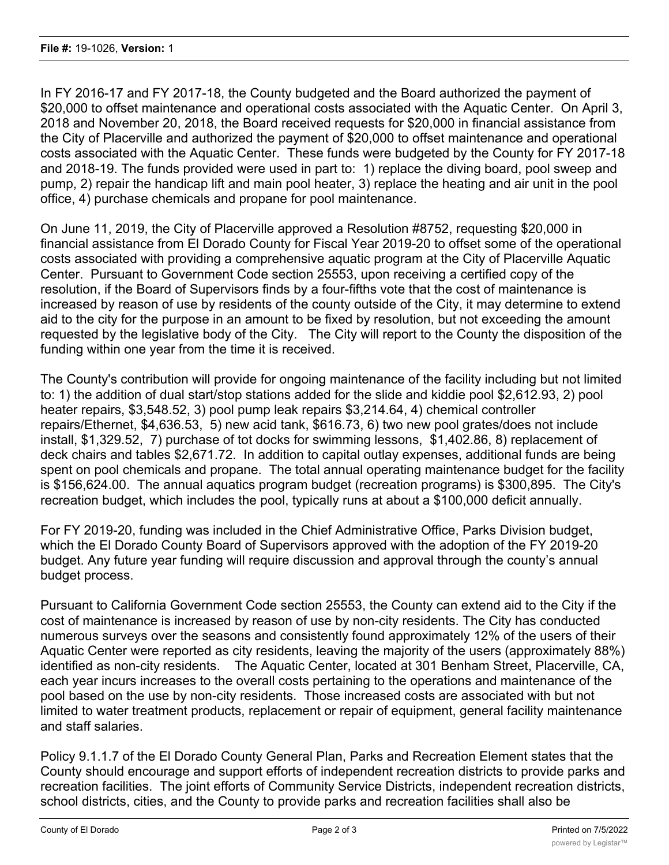In FY 2016-17 and FY 2017-18, the County budgeted and the Board authorized the payment of \$20,000 to offset maintenance and operational costs associated with the Aquatic Center. On April 3, 2018 and November 20, 2018, the Board received requests for \$20,000 in financial assistance from the City of Placerville and authorized the payment of \$20,000 to offset maintenance and operational costs associated with the Aquatic Center. These funds were budgeted by the County for FY 2017-18 and 2018-19. The funds provided were used in part to: 1) replace the diving board, pool sweep and pump, 2) repair the handicap lift and main pool heater, 3) replace the heating and air unit in the pool office, 4) purchase chemicals and propane for pool maintenance.

On June 11, 2019, the City of Placerville approved a Resolution #8752, requesting \$20,000 in financial assistance from El Dorado County for Fiscal Year 2019-20 to offset some of the operational costs associated with providing a comprehensive aquatic program at the City of Placerville Aquatic Center. Pursuant to Government Code section 25553, upon receiving a certified copy of the resolution, if the Board of Supervisors finds by a four-fifths vote that the cost of maintenance is increased by reason of use by residents of the county outside of the City, it may determine to extend aid to the city for the purpose in an amount to be fixed by resolution, but not exceeding the amount requested by the legislative body of the City. The City will report to the County the disposition of the funding within one year from the time it is received.

The County's contribution will provide for ongoing maintenance of the facility including but not limited to: 1) the addition of dual start/stop stations added for the slide and kiddie pool \$2,612.93, 2) pool heater repairs, \$3,548.52, 3) pool pump leak repairs \$3,214.64, 4) chemical controller repairs/Ethernet, \$4,636.53, 5) new acid tank, \$616.73, 6) two new pool grates/does not include install, \$1,329.52, 7) purchase of tot docks for swimming lessons, \$1,402.86, 8) replacement of deck chairs and tables \$2,671.72. In addition to capital outlay expenses, additional funds are being spent on pool chemicals and propane. The total annual operating maintenance budget for the facility is \$156,624.00. The annual aquatics program budget (recreation programs) is \$300,895. The City's recreation budget, which includes the pool, typically runs at about a \$100,000 deficit annually.

For FY 2019-20, funding was included in the Chief Administrative Office, Parks Division budget, which the El Dorado County Board of Supervisors approved with the adoption of the FY 2019-20 budget. Any future year funding will require discussion and approval through the county's annual budget process.

Pursuant to California Government Code section 25553, the County can extend aid to the City if the cost of maintenance is increased by reason of use by non-city residents. The City has conducted numerous surveys over the seasons and consistently found approximately 12% of the users of their Aquatic Center were reported as city residents, leaving the majority of the users (approximately 88%) identified as non-city residents. The Aquatic Center, located at 301 Benham Street, Placerville, CA, each year incurs increases to the overall costs pertaining to the operations and maintenance of the pool based on the use by non-city residents. Those increased costs are associated with but not limited to water treatment products, replacement or repair of equipment, general facility maintenance and staff salaries.

Policy 9.1.1.7 of the El Dorado County General Plan, Parks and Recreation Element states that the County should encourage and support efforts of independent recreation districts to provide parks and recreation facilities. The joint efforts of Community Service Districts, independent recreation districts, school districts, cities, and the County to provide parks and recreation facilities shall also be